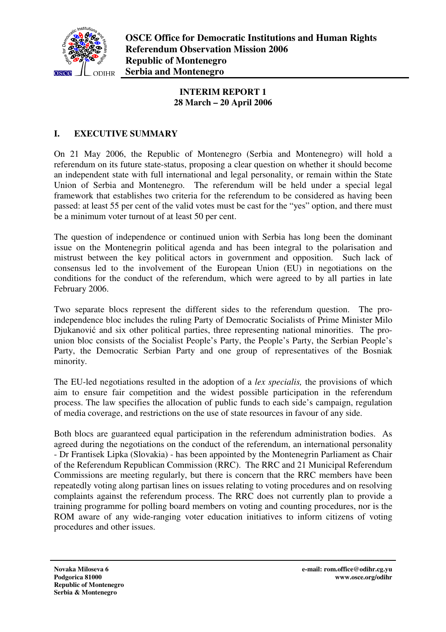

## **INTERIM REPORT 1 28 March – 20 April 2006**

# **I. EXECUTIVE SUMMARY**

On 21 May 2006, the Republic of Montenegro (Serbia and Montenegro) will hold a referendum on its future state-status, proposing a clear question on whether it should become an independent state with full international and legal personality, or remain within the State Union of Serbia and Montenegro. The referendum will be held under a special legal framework that establishes two criteria for the referendum to be considered as having been passed: at least 55 per cent of the valid votes must be cast for the "yes" option, and there must be a minimum voter turnout of at least 50 per cent.

The question of independence or continued union with Serbia has long been the dominant issue on the Montenegrin political agenda and has been integral to the polarisation and mistrust between the key political actors in government and opposition. Such lack of consensus led to the involvement of the European Union (EU) in negotiations on the conditions for the conduct of the referendum, which were agreed to by all parties in late February 2006.

Two separate blocs represent the different sides to the referendum question. The proindependence bloc includes the ruling Party of Democratic Socialists of Prime Minister Milo Djukanović and six other political parties, three representing national minorities. The prounion bloc consists of the Socialist People's Party, the People's Party, the Serbian People's Party, the Democratic Serbian Party and one group of representatives of the Bosniak minority.

The EU-led negotiations resulted in the adoption of a *lex specialis,* the provisions of which aim to ensure fair competition and the widest possible participation in the referendum process. The law specifies the allocation of public funds to each side's campaign, regulation of media coverage, and restrictions on the use of state resources in favour of any side.

Both blocs are guaranteed equal participation in the referendum administration bodies. As agreed during the negotiations on the conduct of the referendum, an international personality - Dr Frantisek Lipka (Slovakia) - has been appointed by the Montenegrin Parliament as Chair of the Referendum Republican Commission (RRC). The RRC and 21 Municipal Referendum Commissions are meeting regularly, but there is concern that the RRC members have been repeatedly voting along partisan lines on issues relating to voting procedures and on resolving complaints against the referendum process. The RRC does not currently plan to provide a training programme for polling board members on voting and counting procedures, nor is the ROM aware of any wide-ranging voter education initiatives to inform citizens of voting procedures and other issues.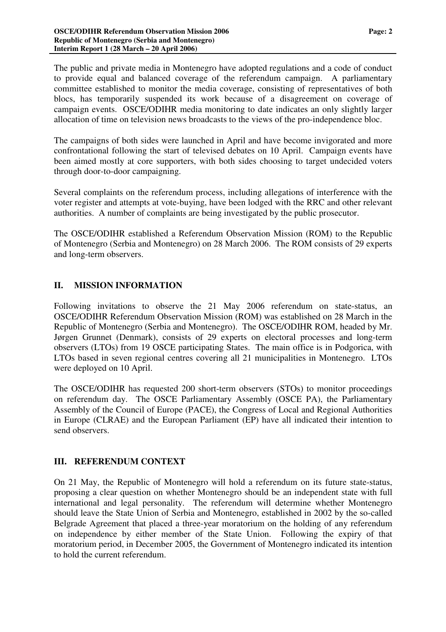The public and private media in Montenegro have adopted regulations and a code of conduct to provide equal and balanced coverage of the referendum campaign. A parliamentary committee established to monitor the media coverage, consisting of representatives of both blocs, has temporarily suspended its work because of a disagreement on coverage of campaign events. OSCE/ODIHR media monitoring to date indicates an only slightly larger allocation of time on television news broadcasts to the views of the pro-independence bloc.

The campaigns of both sides were launched in April and have become invigorated and more confrontational following the start of televised debates on 10 April. Campaign events have been aimed mostly at core supporters, with both sides choosing to target undecided voters through door-to-door campaigning.

Several complaints on the referendum process, including allegations of interference with the voter register and attempts at vote-buying, have been lodged with the RRC and other relevant authorities. A number of complaints are being investigated by the public prosecutor.

The OSCE/ODIHR established a Referendum Observation Mission (ROM) to the Republic of Montenegro (Serbia and Montenegro) on 28 March 2006. The ROM consists of 29 experts and long-term observers.

# **II. MISSION INFORMATION**

Following invitations to observe the 21 May 2006 referendum on state-status, an OSCE/ODIHR Referendum Observation Mission (ROM) was established on 28 March in the Republic of Montenegro (Serbia and Montenegro). The OSCE/ODIHR ROM, headed by Mr. Jørgen Grunnet (Denmark), consists of 29 experts on electoral processes and long-term observers (LTOs) from 19 OSCE participating States. The main office is in Podgorica, with LTOs based in seven regional centres covering all 21 municipalities in Montenegro. LTOs were deployed on 10 April.

The OSCE/ODIHR has requested 200 short-term observers (STOs) to monitor proceedings on referendum day. The OSCE Parliamentary Assembly (OSCE PA), the Parliamentary Assembly of the Council of Europe (PACE), the Congress of Local and Regional Authorities in Europe (CLRAE) and the European Parliament (EP) have all indicated their intention to send observers.

## **III. REFERENDUM CONTEXT**

On 21 May, the Republic of Montenegro will hold a referendum on its future state-status, proposing a clear question on whether Montenegro should be an independent state with full international and legal personality. The referendum will determine whether Montenegro should leave the State Union of Serbia and Montenegro, established in 2002 by the so-called Belgrade Agreement that placed a three-year moratorium on the holding of any referendum on independence by either member of the State Union. Following the expiry of that moratorium period, in December 2005, the Government of Montenegro indicated its intention to hold the current referendum.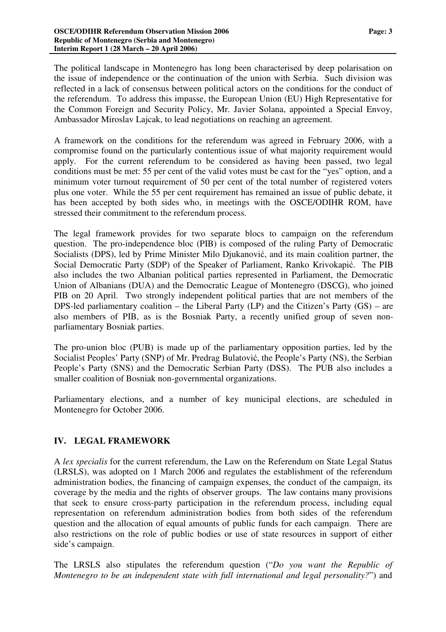The political landscape in Montenegro has long been characterised by deep polarisation on the issue of independence or the continuation of the union with Serbia. Such division was reflected in a lack of consensus between political actors on the conditions for the conduct of the referendum. To address this impasse, the European Union (EU) High Representative for the Common Foreign and Security Policy, Mr. Javier Solana, appointed a Special Envoy, Ambassador Miroslav Lajcak, to lead negotiations on reaching an agreement.

A framework on the conditions for the referendum was agreed in February 2006, with a compromise found on the particularly contentious issue of what majority requirement would apply. For the current referendum to be considered as having been passed, two legal conditions must be met: 55 per cent of the valid votes must be cast for the "yes" option, and a minimum voter turnout requirement of 50 per cent of the total number of registered voters plus one voter. While the 55 per cent requirement has remained an issue of public debate, it has been accepted by both sides who, in meetings with the OSCE/ODIHR ROM, have stressed their commitment to the referendum process.

The legal framework provides for two separate blocs to campaign on the referendum question. The pro-independence bloc (PIB) is composed of the ruling Party of Democratic Socialists (DPS), led by Prime Minister Milo Djukanović, and its main coalition partner, the Social Democratic Party (SDP) of the Speaker of Parliament, Ranko Krivokapić. The PIB also includes the two Albanian political parties represented in Parliament, the Democratic Union of Albanians (DUA) and the Democratic League of Montenegro (DSCG), who joined PIB on 20 April. Two strongly independent political parties that are not members of the DPS-led parliamentary coalition – the Liberal Party (LP) and the Citizen's Party (GS) – are also members of PIB, as is the Bosniak Party, a recently unified group of seven nonparliamentary Bosniak parties.

The pro-union bloc (PUB) is made up of the parliamentary opposition parties, led by the Socialist Peoples' Party (SNP) of Mr. Predrag Bulatović, the People's Party (NS), the Serbian People's Party (SNS) and the Democratic Serbian Party (DSS). The PUB also includes a smaller coalition of Bosniak non-governmental organizations.

Parliamentary elections, and a number of key municipal elections, are scheduled in Montenegro for October 2006.

## **IV. LEGAL FRAMEWORK**

A *lex specialis* for the current referendum, the Law on the Referendum on State Legal Status (LRSLS), was adopted on 1 March 2006 and regulates the establishment of the referendum administration bodies, the financing of campaign expenses, the conduct of the campaign, its coverage by the media and the rights of observer groups. The law contains many provisions that seek to ensure cross-party participation in the referendum process, including equal representation on referendum administration bodies from both sides of the referendum question and the allocation of equal amounts of public funds for each campaign. There are also restrictions on the role of public bodies or use of state resources in support of either side's campaign.

The LRSLS also stipulates the referendum question ("*Do you want the Republic of Montenegro to be an independent state with full international and legal personality?*") and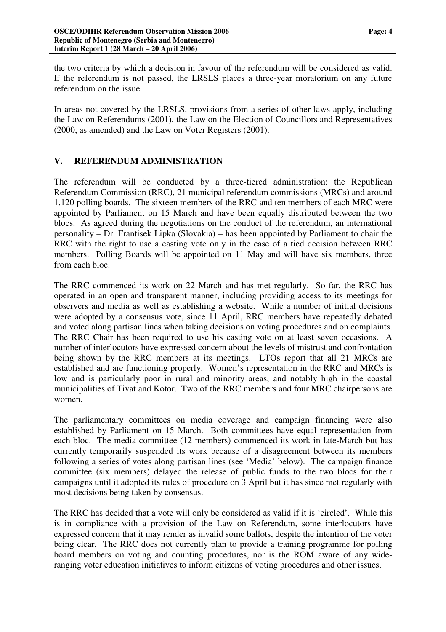the two criteria by which a decision in favour of the referendum will be considered as valid. If the referendum is not passed, the LRSLS places a three-year moratorium on any future referendum on the issue.

In areas not covered by the LRSLS, provisions from a series of other laws apply, including the Law on Referendums (2001), the Law on the Election of Councillors and Representatives (2000, as amended) and the Law on Voter Registers (2001).

## **V. REFERENDUM ADMINISTRATION**

The referendum will be conducted by a three-tiered administration: the Republican Referendum Commission (RRC), 21 municipal referendum commissions (MRCs) and around 1,120 polling boards. The sixteen members of the RRC and ten members of each MRC were appointed by Parliament on 15 March and have been equally distributed between the two blocs. As agreed during the negotiations on the conduct of the referendum, an international personality – Dr. Frantisek Lipka (Slovakia) – has been appointed by Parliament to chair the RRC with the right to use a casting vote only in the case of a tied decision between RRC members. Polling Boards will be appointed on 11 May and will have six members, three from each bloc.

The RRC commenced its work on 22 March and has met regularly. So far, the RRC has operated in an open and transparent manner, including providing access to its meetings for observers and media as well as establishing a website. While a number of initial decisions were adopted by a consensus vote, since 11 April, RRC members have repeatedly debated and voted along partisan lines when taking decisions on voting procedures and on complaints. The RRC Chair has been required to use his casting vote on at least seven occasions. A number of interlocutors have expressed concern about the levels of mistrust and confrontation being shown by the RRC members at its meetings. LTOs report that all 21 MRCs are established and are functioning properly. Women's representation in the RRC and MRCs is low and is particularly poor in rural and minority areas, and notably high in the coastal municipalities of Tivat and Kotor. Two of the RRC members and four MRC chairpersons are women.

The parliamentary committees on media coverage and campaign financing were also established by Parliament on 15 March. Both committees have equal representation from each bloc. The media committee (12 members) commenced its work in late-March but has currently temporarily suspended its work because of a disagreement between its members following a series of votes along partisan lines (see 'Media' below). The campaign finance committee (six members) delayed the release of public funds to the two blocs for their campaigns until it adopted its rules of procedure on 3 April but it has since met regularly with most decisions being taken by consensus.

The RRC has decided that a vote will only be considered as valid if it is 'circled'. While this is in compliance with a provision of the Law on Referendum, some interlocutors have expressed concern that it may render as invalid some ballots, despite the intention of the voter being clear. The RRC does not currently plan to provide a training programme for polling board members on voting and counting procedures, nor is the ROM aware of any wideranging voter education initiatives to inform citizens of voting procedures and other issues.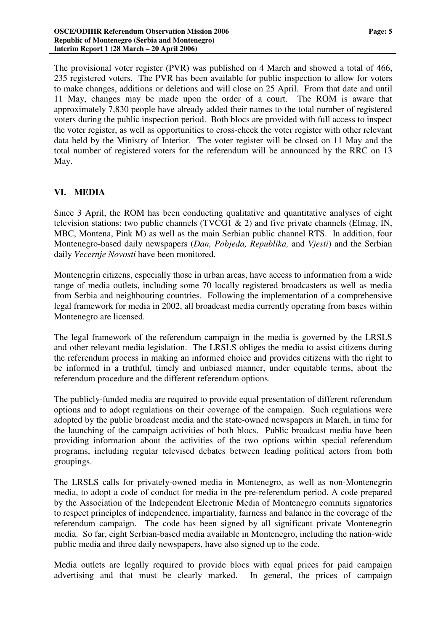The provisional voter register (PVR) was published on 4 March and showed a total of 466, 235 registered voters. The PVR has been available for public inspection to allow for voters to make changes, additions or deletions and will close on 25 April. From that date and until 11 May, changes may be made upon the order of a court. The ROM is aware that approximately 7,830 people have already added their names to the total number of registered voters during the public inspection period. Both blocs are provided with full access to inspect the voter register, as well as opportunities to cross-check the voter register with other relevant data held by the Ministry of Interior. The voter register will be closed on 11 May and the total number of registered voters for the referendum will be announced by the RRC on 13 May.

#### **VI. MEDIA**

Since 3 April, the ROM has been conducting qualitative and quantitative analyses of eight television stations: two public channels (TVCG1  $\&$  2) and five private channels (Elmag, IN, MBC, Montena, Pink M) as well as the main Serbian public channel RTS. In addition, four Montenegro-based daily newspapers (*Dan, Pobjeda, Republika,* and *Vjesti*) and the Serbian daily *Vecernje Novosti* have been monitored.

Montenegrin citizens, especially those in urban areas, have access to information from a wide range of media outlets, including some 70 locally registered broadcasters as well as media from Serbia and neighbouring countries. Following the implementation of a comprehensive legal framework for media in 2002, all broadcast media currently operating from bases within Montenegro are licensed.

The legal framework of the referendum campaign in the media is governed by the LRSLS and other relevant media legislation. The LRSLS obliges the media to assist citizens during the referendum process in making an informed choice and provides citizens with the right to be informed in a truthful, timely and unbiased manner, under equitable terms, about the referendum procedure and the different referendum options.

The publicly-funded media are required to provide equal presentation of different referendum options and to adopt regulations on their coverage of the campaign. Such regulations were adopted by the public broadcast media and the state-owned newspapers in March, in time for the launching of the campaign activities of both blocs. Public broadcast media have been providing information about the activities of the two options within special referendum programs, including regular televised debates between leading political actors from both groupings.

The LRSLS calls for privately-owned media in Montenegro, as well as non-Montenegrin media, to adopt a code of conduct for media in the pre-referendum period. A code prepared by the Association of the Independent Electronic Media of Montenegro commits signatories to respect principles of independence, impartiality, fairness and balance in the coverage of the referendum campaign. The code has been signed by all significant private Montenegrin media. So far, eight Serbian-based media available in Montenegro, including the nation-wide public media and three daily newspapers, have also signed up to the code.

Media outlets are legally required to provide blocs with equal prices for paid campaign advertising and that must be clearly marked. In general, the prices of campaign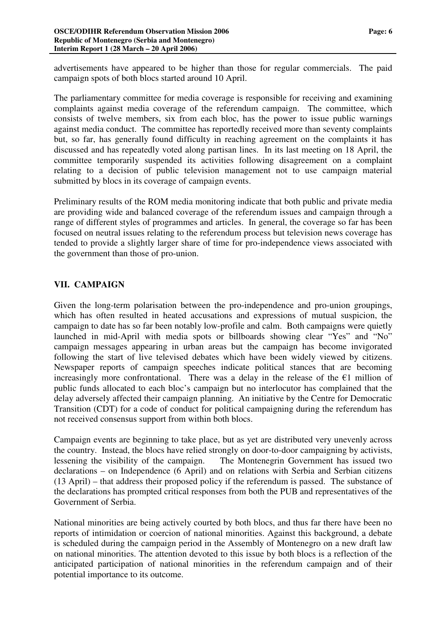advertisements have appeared to be higher than those for regular commercials. The paid campaign spots of both blocs started around 10 April.

The parliamentary committee for media coverage is responsible for receiving and examining complaints against media coverage of the referendum campaign. The committee, which consists of twelve members, six from each bloc, has the power to issue public warnings against media conduct. The committee has reportedly received more than seventy complaints but, so far, has generally found difficulty in reaching agreement on the complaints it has discussed and has repeatedly voted along partisan lines. In its last meeting on 18 April, the committee temporarily suspended its activities following disagreement on a complaint relating to a decision of public television management not to use campaign material submitted by blocs in its coverage of campaign events.

Preliminary results of the ROM media monitoring indicate that both public and private media are providing wide and balanced coverage of the referendum issues and campaign through a range of different styles of programmes and articles. In general, the coverage so far has been focused on neutral issues relating to the referendum process but television news coverage has tended to provide a slightly larger share of time for pro-independence views associated with the government than those of pro-union.

## **VII. CAMPAIGN**

Given the long-term polarisation between the pro-independence and pro-union groupings, which has often resulted in heated accusations and expressions of mutual suspicion, the campaign to date has so far been notably low-profile and calm. Both campaigns were quietly launched in mid-April with media spots or billboards showing clear "Yes" and "No" campaign messages appearing in urban areas but the campaign has become invigorated following the start of live televised debates which have been widely viewed by citizens. Newspaper reports of campaign speeches indicate political stances that are becoming increasingly more confrontational. There was a delay in the release of the  $E1$  million of public funds allocated to each bloc's campaign but no interlocutor has complained that the delay adversely affected their campaign planning. An initiative by the Centre for Democratic Transition (CDT) for a code of conduct for political campaigning during the referendum has not received consensus support from within both blocs.

Campaign events are beginning to take place, but as yet are distributed very unevenly across the country. Instead, the blocs have relied strongly on door-to-door campaigning by activists, lessening the visibility of the campaign. The Montenegrin Government has issued two declarations – on Independence (6 April) and on relations with Serbia and Serbian citizens (13 April) – that address their proposed policy if the referendum is passed. The substance of the declarations has prompted critical responses from both the PUB and representatives of the Government of Serbia.

National minorities are being actively courted by both blocs, and thus far there have been no reports of intimidation or coercion of national minorities. Against this background, a debate is scheduled during the campaign period in the Assembly of Montenegro on a new draft law on national minorities. The attention devoted to this issue by both blocs is a reflection of the anticipated participation of national minorities in the referendum campaign and of their potential importance to its outcome.